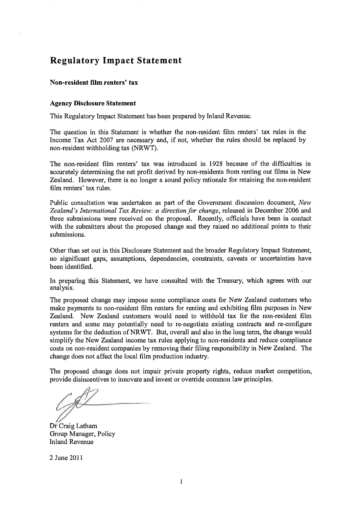# **Regulatory Impact Statement**

#### **Non-resident film renters' tax**

#### **Agency Disclosure Statement**

This Regulatory Impact Statement has been prepared by Inland Revenue.

The question in this Statement is whether the non-resident film renters' tax rules in the Income Tax Act 2007 are necessary and, if not, whether the rules should be replaced by non-resident withholding tax (NRWT).

The non-resident film renters' tax was introduced in 1928 because of the difficulties in accurately determining the net profit derived by non-residents from renting out films in New Zealand. However, there is no longer a sound policy rationale for retaining the non-resident film renters' tax rules.

Public consultation was undertaken as part of the Government discussion document, *New Zealand's International Tax Review: a direction for change,* released in December 2006 and three submissions were received on the proposal. Recently, officials have been in contact with the submitters about the proposed change and they raised no additional points to their submissions.

Other than set out in this Disclosure Statement and the broader Regulatory Impact Statement, no significant gaps, assumptions, dependencies, constraints, caveats or uncertainties have been identified.

In preparing this Statement, we have consulted with the Treasury, which agrees with our analysis.

The proposed change may impose some compliance costs for New Zealand customers who make payments to non-resident film renters for renting and exhibiting film purposes in New Zealand. New Zealand customers would need to withhold tax for the non-resident film renters and some may potentially need to re-negotiate existing contracts and re-configure systems for the deduction of NRWT. But, overall and also in the long tenn, the change would simplify the New Zealand income tax rules applying to non-residents and reduce compliance costs on non-resident companies by removing their filing responsibility in New Zealand. The change does not affect the local film production industry.

The proposed change does not impair private property rights, reduce market competition, provide disincentives to innovate and invest or override common law principles,

Dr Craig Latham Group Manager, Policy Inland Revenue

2 June 2011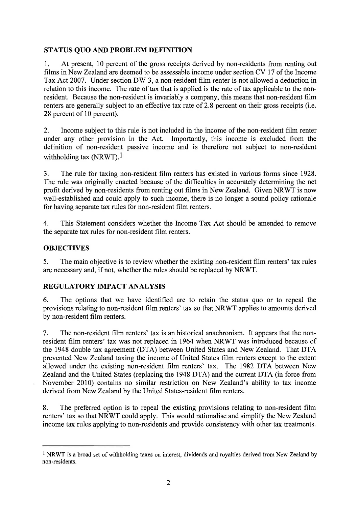## **STATUS QUO AND PROBLEM DEFINITION**

1. At present, 10 percent of the gross receipts derived by non-residents from renting out films in New Zealand are deemed to be assessable income under section CV 17 of the Income Tax Act 2007. Under section DW 3, a non-resident film renter is not allowed a deduction in relation to this income. The rate of tax that is applied is the rate of tax applicable to the nonresident. Because the non-resident is invariably a company, this means that non-resident film renters are generally subject to an effective tax rate of 2.8 percent on their gross receipts (i.e. 28 percent of 10 percent).

2. Income subject to this rule is not included in the income of the non-resident film renter under any other provision in the Act. Importantly, this income is excluded from the definition of non-resident passive income and is therefore not subject to non-resident withholding tax  $(NRWT)$ <sup>1</sup>

3. The rule for taxing non-resident film renters has existed in various forms since 1928. The rule was originally enacted because of the difficulties in accurately determining the net profit derived by non-residents from renting out films in New Zealand. Given NRWT is now well-established and could apply to such income, there is no longer a sound policy rationale for having separate tax rules for non-resident film renters.

4. This Statement considers whether the Income Tax Act should be amended to remove the separate tax rules for non-resident film renters.

## **OBJECTIVES**

5. The main objective is to review whether the existing non-resident film renters' tax rules are necessary and, if not, whether the rules should be replaced by NRWT.

## **REGULATORY IMPACT ANALYSIS**

6. The options that we have identified are to retain the status quo or to repeal the provisions relating to non-resident film renters' tax so that NRWT applies to amounts derived by non-resident film renters.

7. The non-resident film renters' tax is an historical anachronism. It appears that the nonresident film renters' tax was not replaced in 1964 when NRWT was introduced because of the 1948 double tax agreement (DTA) between United States and New Zealand. That **DTA**  prevented New Zealand taxing the income of United States film renters except to the extent allowed under the existing non-resident film renters' tax. The 1982 DTA between New Zealand and the United States (replacing the 1948 DTA) and the current DTA (in force from November 2010) contains no similar restriction on New Zealand's ability to tax income derived from New Zealand by the United States-resident film renters.

8. The preferred option is to repeal the existing provisions relating to non-resident film renters' tax so that NRWT could apply. This would rationalise and simplify the New Zealand income tax rules applying to non-residents and provide consistency with other tax treatments.

<sup>&</sup>lt;sup>1</sup> NRWT is a broad set of withholding taxes on interest, dividends and royalties derived from New Zealand by non-residents.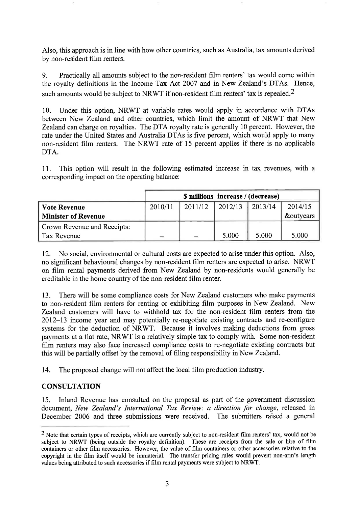Also, this approach is in line with how other countries, such as Australia, tax amounts derived by non-resident film renters.

9. Practically all amounts subject to the non-resident film renters' tax would come within the royalty definitions in the Income Tax Act 2007 and in New Zealand's DTAs. Hence, such amounts would be subject to NRWT if non-resident film renters' tax is repealed.<sup>2</sup>

10. Under this option, NRWT at variable rates would apply in accordance with DTAs between New Zealand and other countries, which limit the amount of NRWT that New Zealand can charge on royalties. The DTA royalty rate is generally 10 percent. However, the rate under the United States and Australia DTAs is five percent, which would apply to many non-resident film renters. The NRWT rate of 15 percent applies if there is no applicable DTA.

11. This option will result in the following estimated increase in tax revenues, with a corresponding impact on the operating balance:

|                             | \$ millions increase / (decrease) |                   |         |         |                      |
|-----------------------------|-----------------------------------|-------------------|---------|---------|----------------------|
| <b>Vote Revenue</b>         | 2010/11                           | 2011/12           | 2012/13 | 2013/14 | 2014/15              |
| <b>Minister of Revenue</b>  |                                   |                   |         |         | <b>&amp;outyears</b> |
| Crown Revenue and Receipts: |                                   |                   |         |         |                      |
| Tax Revenue                 | $\overline{\phantom{a}}$          | $\qquad \qquad =$ | 5.000   | 5.000   | 5.000                |

12. No social, environmental or cultural costs are expected to arise under this option. Also, no significant behavioural changes by non-resident film renters are expected to arise. NRWT on film rental payments derived from New Zealand by non-residents would generally be creditable in the home country of the non-resident film renter.

13. There will be some compliance costs for New Zealand customers who make payments to non-resident film renters for renting or exhibiting film purposes in New Zealand. New Zealand customers will have to withhold tax for the non-resident film renters from the 2012-13 income year and may potentially re-negotiate existing contracts and re-configure systems for the deduction of NRWT. Because it involves making deductions from gross payments at a flat rate, NRWT is a relatively simple tax to comply with. Some non-resident film renters may also face increased compliance costs to re-negotiate existing contracts but this will be partially offset by the removal of filing responsibility in New Zealand.

14. The proposed change will not affect the local film production industry.

## **CONSULTATION**

15. Inland Revenue has consulted on the proposal as part of the government discussion document, *New Zealand's International Tax Review: a direction for change,* released in December 2006 and three submissions were received. The submitters raised a general

**<sup>2</sup> Note that certain types of receipts, which are currently subject to non-resident film renters' tax, would not be subject to NRWT (being outside the royalty definition). These are receipts from the sale or hire of film containers or other film accessories. However, the value of film containers or other accessories relative to the copyright in the film itself would be immaterial. The transfer pricing rules would prevent non-arm's length values being attributed to such accessories if film rental payments were subject to NRWT.**